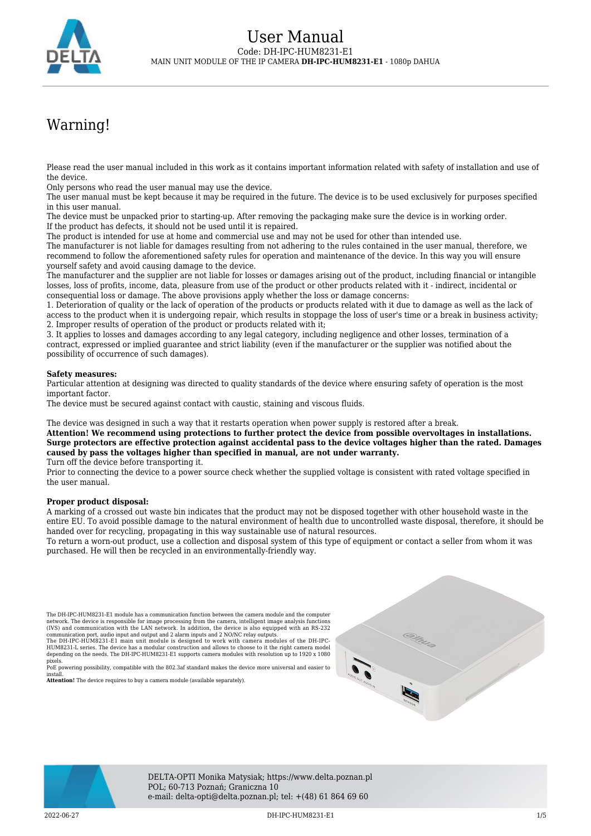

# Warning!

Please read the user manual included in this work as it contains important information related with safety of installation and use of the device.

Only persons who read the user manual may use the device.

The user manual must be kept because it may be required in the future. The device is to be used exclusively for purposes specified in this user manual.

The device must be unpacked prior to starting-up. After removing the packaging make sure the device is in working order. If the product has defects, it should not be used until it is repaired.

The product is intended for use at home and commercial use and may not be used for other than intended use.

The manufacturer is not liable for damages resulting from not adhering to the rules contained in the user manual, therefore, we recommend to follow the aforementioned safety rules for operation and maintenance of the device. In this way you will ensure yourself safety and avoid causing damage to the device.

The manufacturer and the supplier are not liable for losses or damages arising out of the product, including financial or intangible losses, loss of profits, income, data, pleasure from use of the product or other products related with it - indirect, incidental or consequential loss or damage. The above provisions apply whether the loss or damage concerns:

1. Deterioration of quality or the lack of operation of the products or products related with it due to damage as well as the lack of access to the product when it is undergoing repair, which results in stoppage the loss of user's time or a break in business activity; 2. Improper results of operation of the product or products related with it;

3. It applies to losses and damages according to any legal category, including negligence and other losses, termination of a contract, expressed or implied guarantee and strict liability (even if the manufacturer or the supplier was notified about the possibility of occurrence of such damages).

#### **Safety measures:**

Particular attention at designing was directed to quality standards of the device where ensuring safety of operation is the most important factor.

The device must be secured against contact with caustic, staining and viscous fluids.

The device was designed in such a way that it restarts operation when power supply is restored after a break.

**Attention! We recommend using protections to further protect the device from possible overvoltages in installations. Surge protectors are effective protection against accidental pass to the device voltages higher than the rated. Damages caused by pass the voltages higher than specified in manual, are not under warranty.** Turn off the device before transporting it.

Prior to connecting the device to a power source check whether the supplied voltage is consistent with rated voltage specified in the user manual.

#### **Proper product disposal:**

A marking of a crossed out waste bin indicates that the product may not be disposed together with other household waste in the entire EU. To avoid possible damage to the natural environment of health due to uncontrolled waste disposal, therefore, it should be handed over for recycling, propagating in this way sustainable use of natural resources.

To return a worn-out product, use a collection and disposal system of this type of equipment or contact a seller from whom it was purchased. He will then be recycled in an environmentally-friendly way.

The DH-IPC-HUM8231-E1 module has a communication function between the camera module and the computer network. The device is responsible for image processing from the camera, intelligent image analysis functions (IVS) and communication with the LAN network. In addition, the device is also equipped with an RS-232 communication port, audio input and output and 2 alarm inputs and 2 NO/NC relay outputs. The DH-IPC-HUM8231-E1 main unit module is designed to work with camera modules of the DH-IPC-

HUM8231-L series. The device has a modular construction and allows to choose to it the right camera model depending on the needs. The DH-IPC-HUM8231-E1 supports camera modules with resolution up to 1920 x 1080

pixels.<br>PoE powering possibility, compatible with the 802.3af standard makes the device more universal and easier to<br>install.

**Attention!** The device requires to buy a camera module (available separately).





DELTA-OPTI Monika Matysiak; https://www.delta.poznan.pl POL; 60-713 Poznań; Graniczna 10 e-mail: delta-opti@delta.poznan.pl; tel: +(48) 61 864 69 60

2022-06-27 DH-IPC-HUM8231-E1 1/5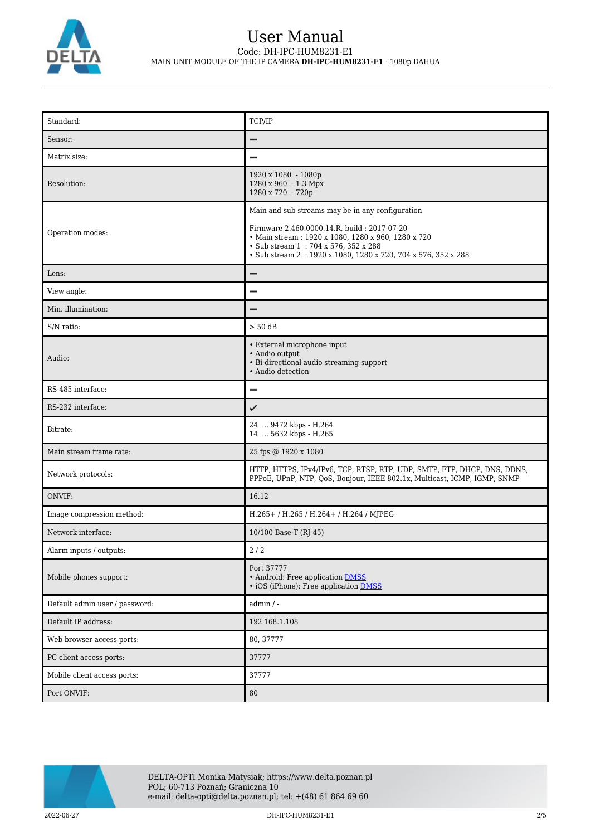

| Standard:                      | TCP/IP                                                                                                                                                                                                                                                        |  |
|--------------------------------|---------------------------------------------------------------------------------------------------------------------------------------------------------------------------------------------------------------------------------------------------------------|--|
| Sensor:                        | -                                                                                                                                                                                                                                                             |  |
| Matrix size:                   | $\overline{\phantom{0}}$                                                                                                                                                                                                                                      |  |
| Resolution:                    | 1920 x 1080 - 1080p<br>1280 x 960 - 1.3 Mpx<br>1280 x 720 - 720p                                                                                                                                                                                              |  |
| Operation modes:               | Main and sub streams may be in any configuration<br>Firmware 2.460.0000.14.R, build: 2017-07-20<br>• Main stream: 1920 x 1080, 1280 x 960, 1280 x 720<br>• Sub stream 1:704 x 576, 352 x 288<br>• Sub stream 2: 1920 x 1080, 1280 x 720, 704 x 576, 352 x 288 |  |
| Lens:                          | -                                                                                                                                                                                                                                                             |  |
| View angle:                    | $\overline{\phantom{0}}$                                                                                                                                                                                                                                      |  |
| Min. illumination:             | $\overline{\phantom{0}}$                                                                                                                                                                                                                                      |  |
| S/N ratio:                     | $> 50$ dB                                                                                                                                                                                                                                                     |  |
| Audio:                         | • External microphone input<br>· Audio output<br>• Bi-directional audio streaming support<br>• Audio detection                                                                                                                                                |  |
| RS-485 interface:              | $\overline{\phantom{0}}$                                                                                                                                                                                                                                      |  |
| RS-232 interface:              | ✓                                                                                                                                                                                                                                                             |  |
| Bitrate:                       | 24  9472 kbps - H.264<br>14  5632 kbps - H.265                                                                                                                                                                                                                |  |
| Main stream frame rate:        | 25 fps @ 1920 x 1080                                                                                                                                                                                                                                          |  |
| Network protocols:             | HTTP, HTTPS, IPv4/IPv6, TCP, RTSP, RTP, UDP, SMTP, FTP, DHCP, DNS, DDNS,<br>PPPoE, UPnP, NTP, QoS, Bonjour, IEEE 802.1x, Multicast, ICMP, IGMP, SNMP                                                                                                          |  |
| ONVIF:                         | 16.12                                                                                                                                                                                                                                                         |  |
| Image compression method:      | $H.265+$ / H.265 / H.264 + / H.264 / MJPEG                                                                                                                                                                                                                    |  |
| Network interface:             | 10/100 Base-T (RJ-45)                                                                                                                                                                                                                                         |  |
| Alarm inputs / outputs:        | $2/2$                                                                                                                                                                                                                                                         |  |
| Mobile phones support:         | Port 37777<br>• Android: Free application DMSS<br>• iOS (iPhone): Free application DMSS                                                                                                                                                                       |  |
| Default admin user / password: | $admin / -$                                                                                                                                                                                                                                                   |  |
| Default IP address:            | 192.168.1.108                                                                                                                                                                                                                                                 |  |
| Web browser access ports:      | 80, 37777                                                                                                                                                                                                                                                     |  |
| PC client access ports:        | 37777                                                                                                                                                                                                                                                         |  |
| Mobile client access ports:    | 37777                                                                                                                                                                                                                                                         |  |
| Port ONVIF:                    | 80                                                                                                                                                                                                                                                            |  |

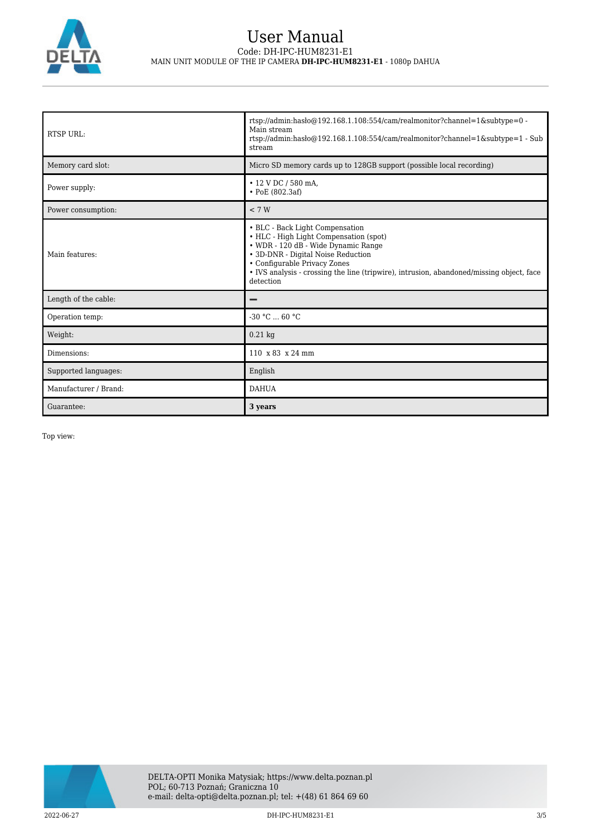

| <b>RTSP URL:</b>      | rtsp://admin.hasbo $@192.168.1.108.554$ /cam/realmonitor?channel=1&subtype=0 -<br>Main stream<br>rtsp://admin.hasho $@192.168.1.108.554/cam/realmonitor?channel=1&subtype=1 - Sub$<br>stream                                                                                                    |  |
|-----------------------|-------------------------------------------------------------------------------------------------------------------------------------------------------------------------------------------------------------------------------------------------------------------------------------------------|--|
| Memory card slot:     | Micro SD memory cards up to 128GB support (possible local recording)                                                                                                                                                                                                                            |  |
| Power supply:         | • 12 V DC / 580 mA,<br>$\cdot$ PoE (802.3af)                                                                                                                                                                                                                                                    |  |
| Power consumption:    | < 7 W                                                                                                                                                                                                                                                                                           |  |
| Main features:        | • BLC - Back Light Compensation<br>• HLC - High Light Compensation (spot)<br>• WDR - 120 dB - Wide Dynamic Range<br>• 3D-DNR - Digital Noise Reduction<br>• Configurable Privacy Zones<br>• IVS analysis - crossing the line (tripwire), intrusion, abandoned/missing object, face<br>detection |  |
| Length of the cable:  |                                                                                                                                                                                                                                                                                                 |  |
| Operation temp:       | $-30 °C  60 °C$                                                                                                                                                                                                                                                                                 |  |
| Weight:               | $0.21$ kg                                                                                                                                                                                                                                                                                       |  |
| Dimensions:           | $110 \times 83 \times 24$ mm                                                                                                                                                                                                                                                                    |  |
| Supported languages:  | English                                                                                                                                                                                                                                                                                         |  |
| Manufacturer / Brand: | <b>DAHUA</b>                                                                                                                                                                                                                                                                                    |  |
| Guarantee:            | 3 years                                                                                                                                                                                                                                                                                         |  |

Top view:

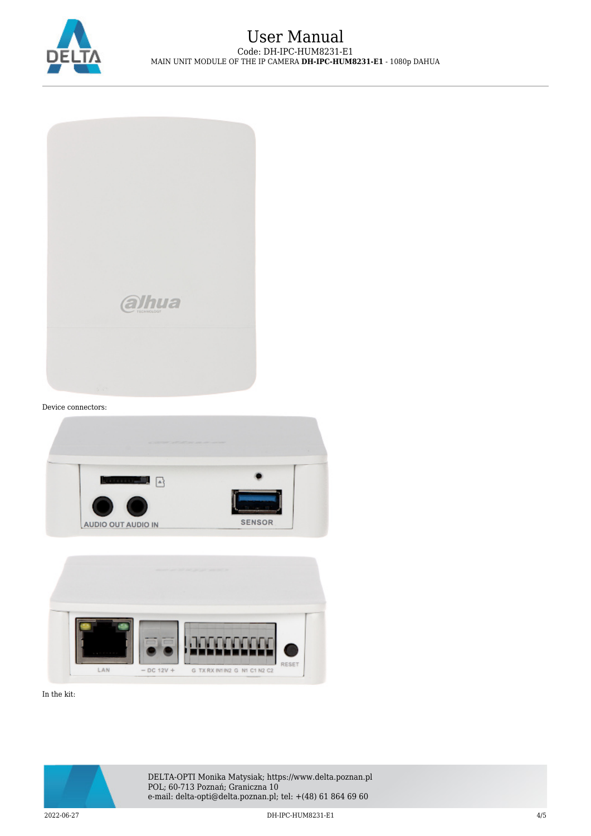

|   | alhua |  |
|---|-------|--|
|   |       |  |
| ÷ |       |  |

Device connectors:





In the kit:



DELTA-OPTI Monika Matysiak; https://www.delta.poznan.pl POL; 60-713 Poznań; Graniczna 10 e-mail: delta-opti@delta.poznan.pl; tel: +(48) 61 864 69 60

2022-06-27 DH-IPC-HUM8231-E1 4/5